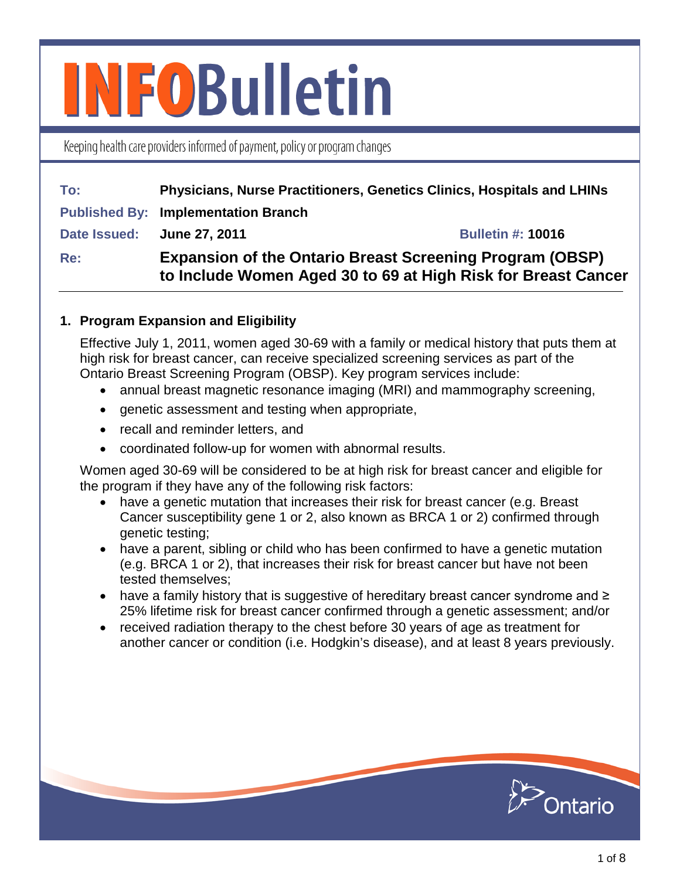# **INFOBulletin**

Keeping health care providers informed of payment, policy or program changes

| To:                        | Physicians, Nurse Practitioners, Genetics Clinics, Hospitals and LHINs                                                           |                          |
|----------------------------|----------------------------------------------------------------------------------------------------------------------------------|--------------------------|
|                            | <b>Published By: Implementation Branch</b>                                                                                       |                          |
| Date Issued: June 27, 2011 |                                                                                                                                  | <b>Bulletin #: 10016</b> |
| <b>Re:</b>                 | <b>Expansion of the Ontario Breast Screening Program (OBSP)</b><br>to Include Women Aged 30 to 69 at High Risk for Breast Cancer |                          |

# **1. Program Expansion and Eligibility**

Effective July 1, 2011, women aged 30-69 with a family or medical history that puts them at high risk for breast cancer, can receive specialized screening services as part of the Ontario Breast Screening Program (OBSP). Key program services include:

- annual breast magnetic resonance imaging (MRI) and mammography screening,
- genetic assessment and testing when appropriate,
- recall and reminder letters, and
- coordinated follow-up for women with abnormal results.

Women aged 30-69 will be considered to be at high risk for breast cancer and eligible for the program if they have any of the following risk factors:

- have a genetic mutation that increases their risk for breast cancer (e.g. Breast Cancer susceptibility gene 1 or 2, also known as BRCA 1 or 2) confirmed through genetic testing;
- have a parent, sibling or child who has been confirmed to have a genetic mutation (e.g. BRCA 1 or 2), that increases their risk for breast cancer but have not been tested themselves;
- have a family history that is suggestive of hereditary breast cancer syndrome and ≥ 25% lifetime risk for breast cancer confirmed through a genetic assessment; and/or
- received radiation therapy to the chest before 30 years of age as treatment for another cancer or condition (i.e. Hodgkin's disease), and at least 8 years previously.

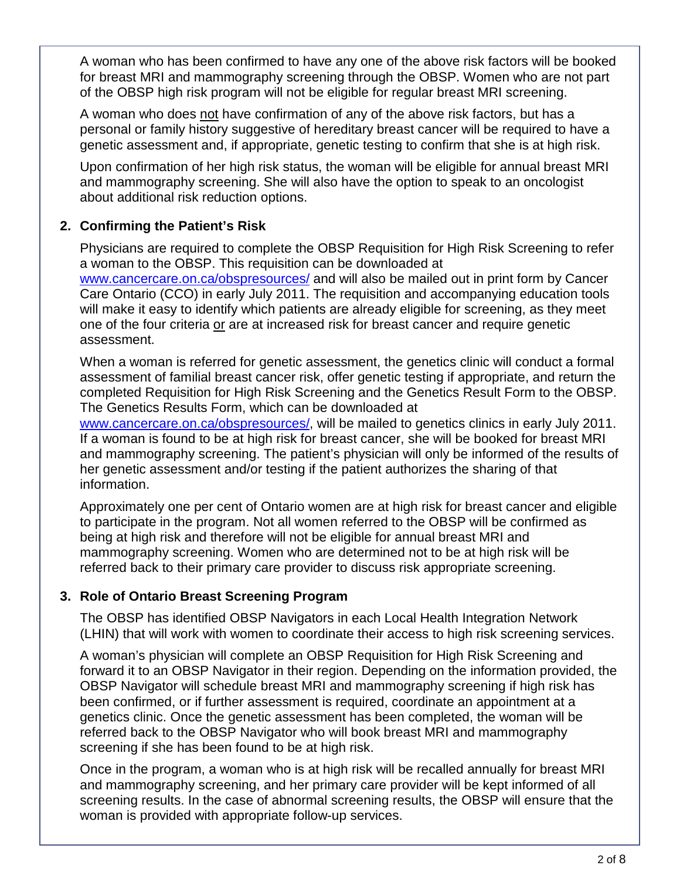A woman who has been confirmed to have any one of the above risk factors will be booked for breast MRI and mammography screening through the OBSP. Women who are not part of the OBSP high risk program will not be eligible for regular breast MRI screening.

A woman who does not have confirmation of any of the above risk factors, but has a personal or family history suggestive of hereditary breast cancer will be required to have a genetic assessment and, if appropriate, genetic testing to confirm that she is at high risk.

Upon confirmation of her high risk status, the woman will be eligible for annual breast MRI and mammography screening. She will also have the option to speak to an oncologist about additional risk reduction options.

# **2. Confirming the Patient's Risk**

Physicians are required to complete the OBSP Requisition for High Risk Screening to refer a woman to the OBSP. This requisition can be downloaded at [www.cancercare.on.ca/obspresources/](http://www.cancercare.on.ca/obspresources/) and will also be mailed out in print form by Cancer Care Ontario (CCO) in early July 2011. The requisition and accompanying education tools will make it easy to identify which patients are already eligible for screening, as they meet one of the four criteria or are at increased risk for breast cancer and require genetic assessment.

When a woman is referred for genetic assessment, the genetics clinic will conduct a formal assessment of familial breast cancer risk, offer genetic testing if appropriate, and return the completed Requisition for High Risk Screening and the Genetics Result Form to the OBSP. The Genetics Results Form, which can be downloaded at

[www.cancercare.on.ca/obspresources/,](http://www.cancercare.on.ca/obspresources/) will be mailed to genetics clinics in early July 2011. If a woman is found to be at high risk for breast cancer, she will be booked for breast MRI and mammography screening. The patient's physician will only be informed of the results of her genetic assessment and/or testing if the patient authorizes the sharing of that information.

Approximately one per cent of Ontario women are at high risk for breast cancer and eligible to participate in the program. Not all women referred to the OBSP will be confirmed as being at high risk and therefore will not be eligible for annual breast MRI and mammography screening. Women who are determined not to be at high risk will be referred back to their primary care provider to discuss risk appropriate screening.

# **3. Role of Ontario Breast Screening Program**

The OBSP has identified OBSP Navigators in each Local Health Integration Network (LHIN) that will work with women to coordinate their access to high risk screening services.

A woman's physician will complete an OBSP Requisition for High Risk Screening and forward it to an OBSP Navigator in their region. Depending on the information provided, the OBSP Navigator will schedule breast MRI and mammography screening if high risk has been confirmed, or if further assessment is required, coordinate an appointment at a genetics clinic. Once the genetic assessment has been completed, the woman will be referred back to the OBSP Navigator who will book breast MRI and mammography screening if she has been found to be at high risk.

Once in the program, a woman who is at high risk will be recalled annually for breast MRI and mammography screening, and her primary care provider will be kept informed of all screening results. In the case of abnormal screening results, the OBSP will ensure that the woman is provided with appropriate follow-up services.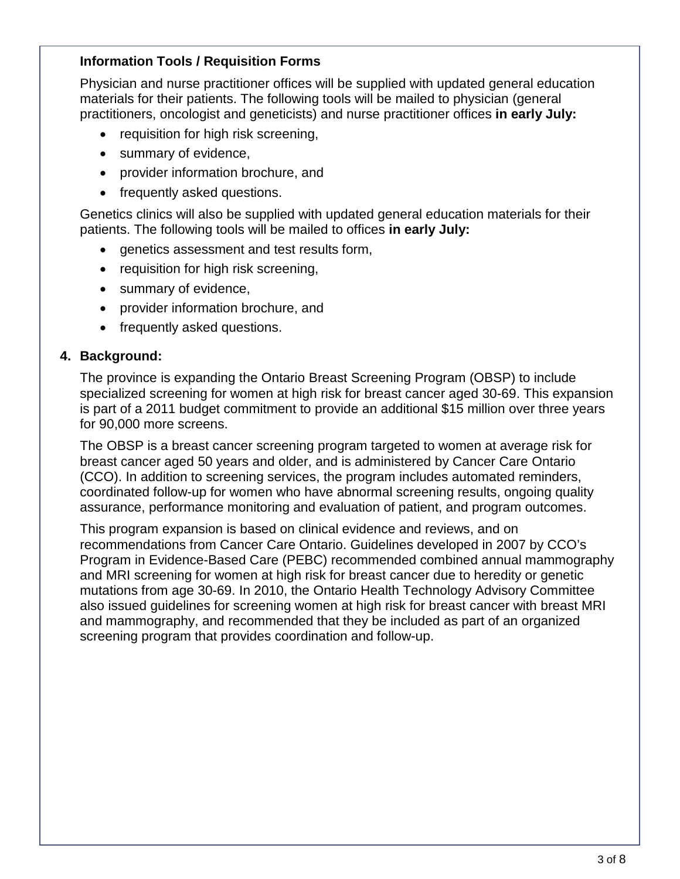## **Information Tools / Requisition Forms**

Physician and nurse practitioner offices will be supplied with updated general education materials for their patients. The following tools will be mailed to physician (general practitioners, oncologist and geneticists) and nurse practitioner offices **in early July:**

- requisition for high risk screening,
- summary of evidence,
- provider information brochure, and
- frequently asked questions.

Genetics clinics will also be supplied with updated general education materials for their patients. The following tools will be mailed to offices **in early July:**

- genetics assessment and test results form,
- requisition for high risk screening,
- summary of evidence,
- provider information brochure, and
- frequently asked questions.

## **4. Background:**

The province is expanding the Ontario Breast Screening Program (OBSP) to include specialized screening for women at high risk for breast cancer aged 30-69. This expansion is part of a 2011 budget commitment to provide an additional \$15 million over three years for 90,000 more screens.

The OBSP is a breast cancer screening program targeted to women at average risk for breast cancer aged 50 years and older, and is administered by Cancer Care Ontario (CCO). In addition to screening services, the program includes automated reminders, coordinated follow-up for women who have abnormal screening results, ongoing quality assurance, performance monitoring and evaluation of patient, and program outcomes.

This program expansion is based on clinical evidence and reviews, and on recommendations from Cancer Care Ontario. Guidelines developed in 2007 by CCO's Program in Evidence-Based Care (PEBC) recommended combined annual mammography and MRI screening for women at high risk for breast cancer due to heredity or genetic mutations from age 30-69. In 2010, the Ontario Health Technology Advisory Committee also issued guidelines for screening women at high risk for breast cancer with breast MRI and mammography, and recommended that they be included as part of an organized screening program that provides coordination and follow-up.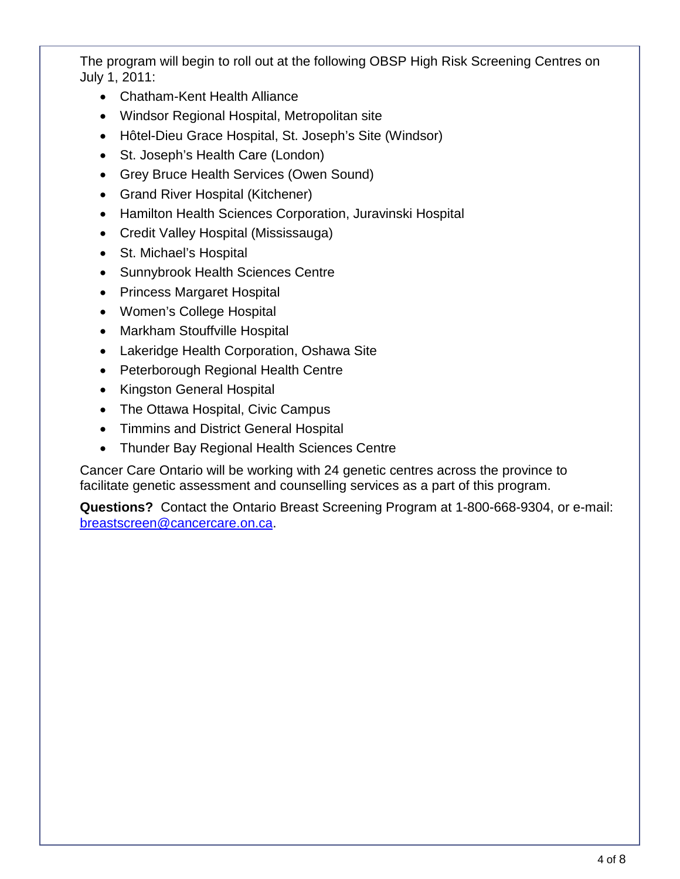The program will begin to roll out at the following OBSP High Risk Screening Centres on July 1, 2011:

- Chatham-Kent Health Alliance
- Windsor Regional Hospital, Metropolitan site
- Hôtel-Dieu Grace Hospital, St. Joseph's Site (Windsor)
- St. Joseph's Health Care (London)
- Grey Bruce Health Services (Owen Sound)
- Grand River Hospital (Kitchener)
- Hamilton Health Sciences Corporation, Juravinski Hospital
- Credit Valley Hospital (Mississauga)
- St. Michael's Hospital
- Sunnybrook Health Sciences Centre
- Princess Margaret Hospital
- Women's College Hospital
- Markham Stouffville Hospital
- Lakeridge Health Corporation, Oshawa Site
- Peterborough Regional Health Centre
- Kingston General Hospital
- The Ottawa Hospital, Civic Campus
- Timmins and District General Hospital
- Thunder Bay Regional Health Sciences Centre

Cancer Care Ontario will be working with 24 genetic centres across the province to facilitate genetic assessment and counselling services as a part of this program.

**Questions?** Contact the Ontario Breast Screening Program at 1-800-668-9304, or e-mail: [breastscreen@cancercare.on.ca.](mailto:breastscreen@cancercare.on.ca)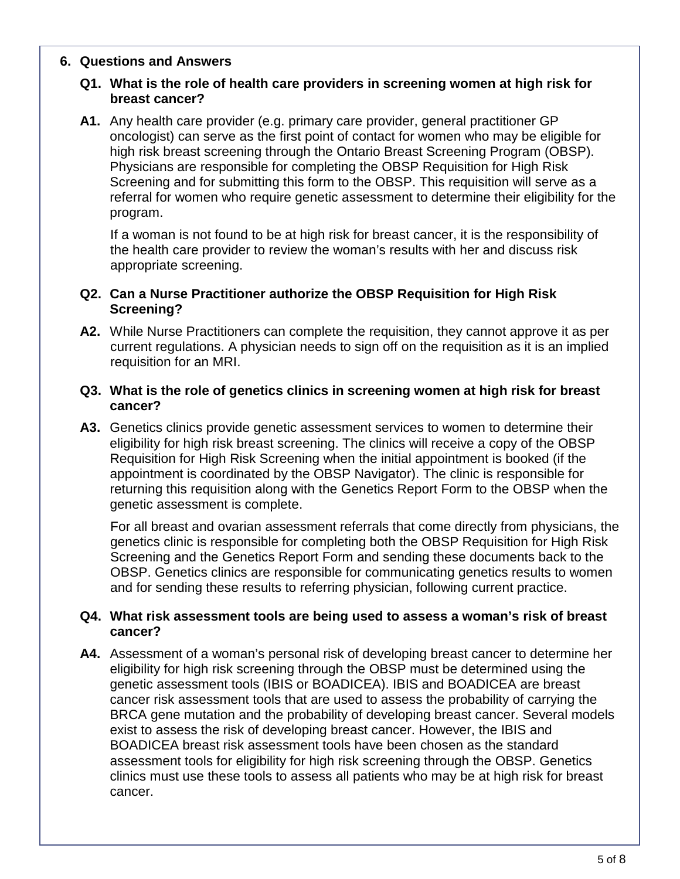#### **6. Questions and Answers**

## **Q1. What is the role of health care providers in screening women at high risk for breast cancer?**

**A1.** Any health care provider (e.g. primary care provider, general practitioner GP oncologist) can serve as the first point of contact for women who may be eligible for high risk breast screening through the Ontario Breast Screening Program (OBSP). Physicians are responsible for completing the OBSP Requisition for High Risk Screening and for submitting this form to the OBSP. This requisition will serve as a referral for women who require genetic assessment to determine their eligibility for the program.

If a woman is not found to be at high risk for breast cancer, it is the responsibility of the health care provider to review the woman's results with her and discuss risk appropriate screening.

#### **Q2. Can a Nurse Practitioner authorize the OBSP Requisition for High Risk Screening?**

**A2.** While Nurse Practitioners can complete the requisition, they cannot approve it as per current regulations. A physician needs to sign off on the requisition as it is an implied requisition for an MRI.

#### **Q3. What is the role of genetics clinics in screening women at high risk for breast cancer?**

**A3.** Genetics clinics provide genetic assessment services to women to determine their eligibility for high risk breast screening. The clinics will receive a copy of the OBSP Requisition for High Risk Screening when the initial appointment is booked (if the appointment is coordinated by the OBSP Navigator). The clinic is responsible for returning this requisition along with the Genetics Report Form to the OBSP when the genetic assessment is complete.

For all breast and ovarian assessment referrals that come directly from physicians, the genetics clinic is responsible for completing both the OBSP Requisition for High Risk Screening and the Genetics Report Form and sending these documents back to the OBSP. Genetics clinics are responsible for communicating genetics results to women and for sending these results to referring physician, following current practice.

## **Q4. What risk assessment tools are being used to assess a woman's risk of breast cancer?**

**A4.** Assessment of a woman's personal risk of developing breast cancer to determine her eligibility for high risk screening through the OBSP must be determined using the genetic assessment tools (IBIS or BOADICEA). IBIS and BOADICEA are breast cancer risk assessment tools that are used to assess the probability of carrying the BRCA gene mutation and the probability of developing breast cancer. Several models exist to assess the risk of developing breast cancer. However, the IBIS and BOADICEA breast risk assessment tools have been chosen as the standard assessment tools for eligibility for high risk screening through the OBSP. Genetics clinics must use these tools to assess all patients who may be at high risk for breast cancer.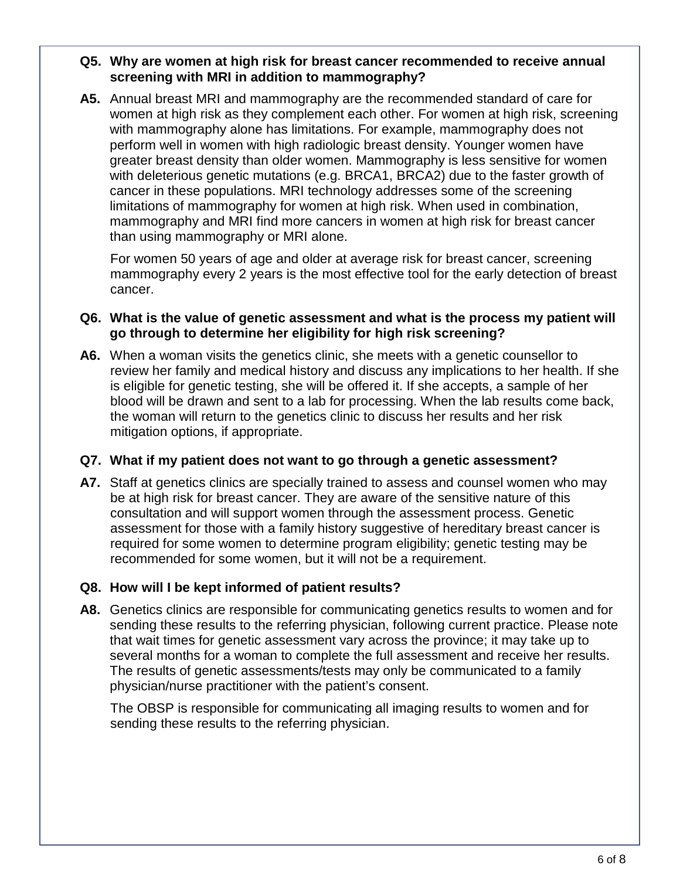## **Q5. Why are women at high risk for breast cancer recommended to receive annual screening with MRI in addition to mammography?**

**A5.** Annual breast MRI and mammography are the recommended standard of care for women at high risk as they complement each other. For women at high risk, screening with mammography alone has limitations. For example, mammography does not perform well in women with high radiologic breast density. Younger women have greater breast density than older women. Mammography is less sensitive for women with deleterious genetic mutations (e.g. BRCA1, BRCA2) due to the faster growth of cancer in these populations. MRI technology addresses some of the screening limitations of mammography for women at high risk. When used in combination, mammography and MRI find more cancers in women at high risk for breast cancer than using mammography or MRI alone.

For women 50 years of age and older at average risk for breast cancer, screening mammography every 2 years is the most effective tool for the early detection of breast cancer.

## **Q6. What is the value of genetic assessment and what is the process my patient will go through to determine her eligibility for high risk screening?**

**A6.** When a woman visits the genetics clinic, she meets with a genetic counsellor to review her family and medical history and discuss any implications to her health. If she is eligible for genetic testing, she will be offered it. If she accepts, a sample of her blood will be drawn and sent to a lab for processing. When the lab results come back, the woman will return to the genetics clinic to discuss her results and her risk mitigation options, if appropriate.

# **Q7. What if my patient does not want to go through a genetic assessment?**

**A7.** Staff at genetics clinics are specially trained to assess and counsel women who may be at high risk for breast cancer. They are aware of the sensitive nature of this consultation and will support women through the assessment process. Genetic assessment for those with a family history suggestive of hereditary breast cancer is required for some women to determine program eligibility; genetic testing may be recommended for some women, but it will not be a requirement.

# **Q8. How will I be kept informed of patient results?**

**A8.** Genetics clinics are responsible for communicating genetics results to women and for sending these results to the referring physician, following current practice. Please note that wait times for genetic assessment vary across the province; it may take up to several months for a woman to complete the full assessment and receive her results. The results of genetic assessments/tests may only be communicated to a family physician/nurse practitioner with the patient's consent.

The OBSP is responsible for communicating all imaging results to women and for sending these results to the referring physician.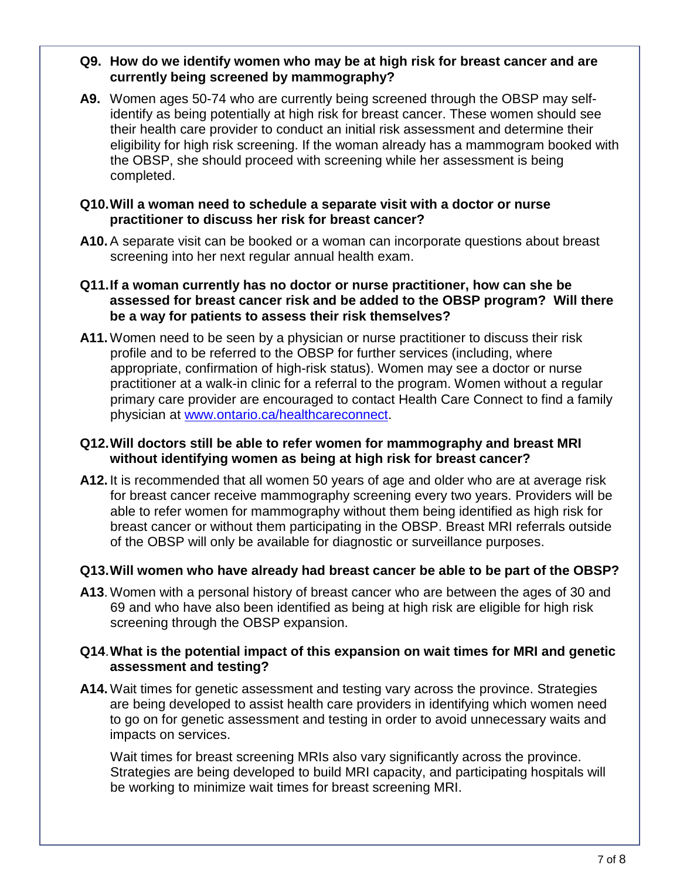## **Q9. How do we identify women who may be at high risk for breast cancer and are currently being screened by mammography?**

**A9.** Women ages 50-74 who are currently being screened through the OBSP may selfidentify as being potentially at high risk for breast cancer. These women should see their health care provider to conduct an initial risk assessment and determine their eligibility for high risk screening. If the woman already has a mammogram booked with the OBSP, she should proceed with screening while her assessment is being completed.

## **Q10.Will a woman need to schedule a separate visit with a doctor or nurse practitioner to discuss her risk for breast cancer?**

**A10.**A separate visit can be booked or a woman can incorporate questions about breast screening into her next regular annual health exam.

## **Q11.If a woman currently has no doctor or nurse practitioner, how can she be assessed for breast cancer risk and be added to the OBSP program? Will there be a way for patients to assess their risk themselves?**

**A11.**Women need to be seen by a physician or nurse practitioner to discuss their risk profile and to be referred to the OBSP for further services (including, where appropriate, confirmation of high-risk status). Women may see a doctor or nurse practitioner at a walk-in clinic for a referral to the program. Women without a regular primary care provider are encouraged to contact Health Care Connect to find a family physician at [www.ontario.ca/healthcareconnect.](http://www.ontario.ca/healthcareconnect)

## **Q12. Will doctors still be able to refer women for mammography and breast MRI without identifying women as being at high risk for breast cancer?**

**A12.** It is recommended that all women 50 years of age and older who are at average risk for breast cancer receive mammography screening every two years. Providers will be able to refer women for mammography without them being identified as high risk for breast cancer or without them participating in the OBSP. Breast MRI referrals outside of the OBSP will only be available for diagnostic or surveillance purposes.

# **Q13. Will women who have already had breast cancer be able to be part of the OBSP?**

**A13**. Women with a personal history of breast cancer who are between the ages of 30 and 69 and who have also been identified as being at high risk are eligible for high risk screening through the OBSP expansion.

## **Q14**. **What is the potential impact of this expansion on wait times for MRI and genetic assessment and testing?**

**A14.**Wait times for genetic assessment and testing vary across the province. Strategies are being developed to assist health care providers in identifying which women need to go on for genetic assessment and testing in order to avoid unnecessary waits and impacts on services.

Wait times for breast screening MRIs also vary significantly across the province. Strategies are being developed to build MRI capacity, and participating hospitals will be working to minimize wait times for breast screening MRI.